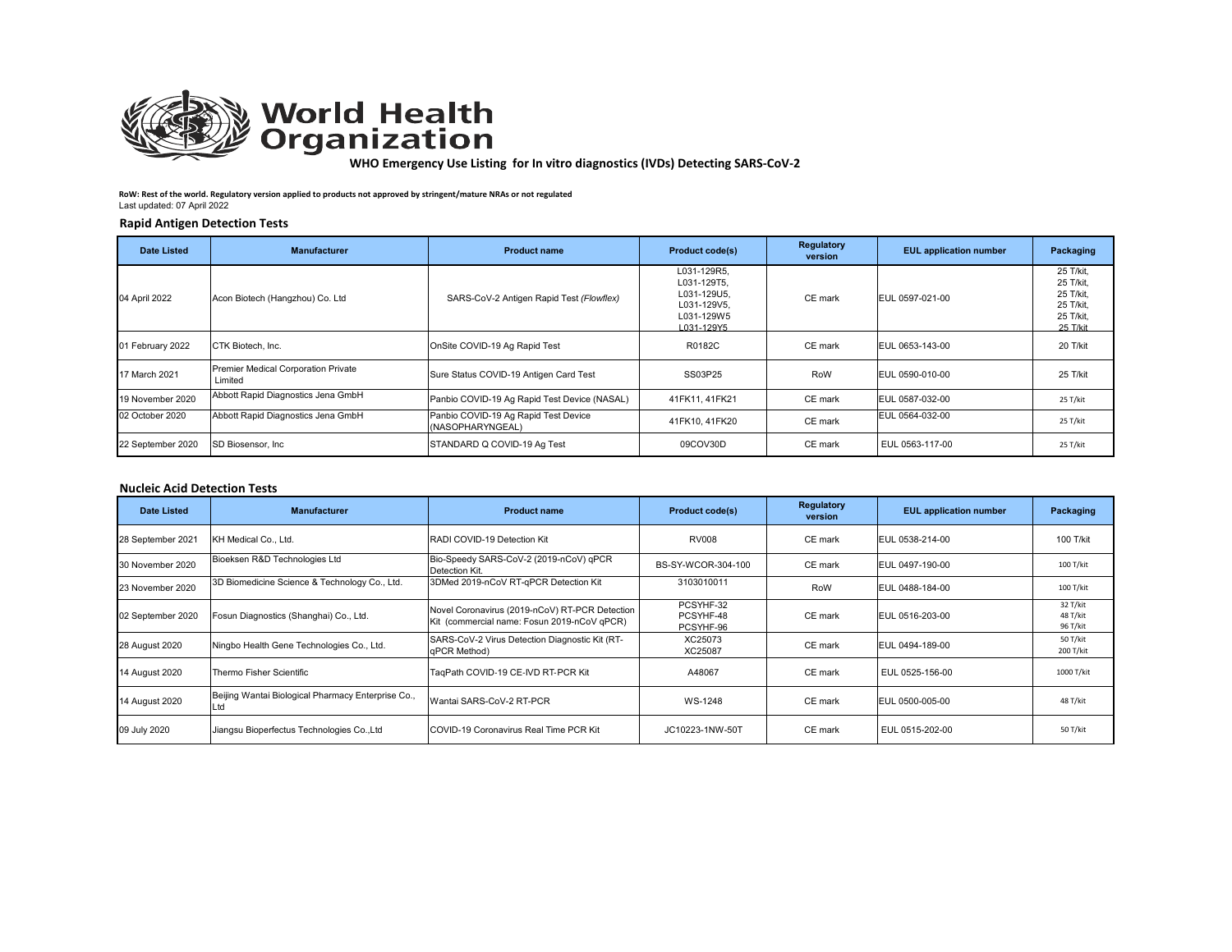

# **World Health**<br>**Organization**

**WHO Emergency Use Listing for In vitro diagnostics (IVDs) Detecting SARS‐CoV‐2** 

**RoW: Rest of the world. Regulatory version applied to products not approved by stringent/mature NRAs or not regulated** Last updated: 07 April 2022

## **Rapid Antigen Detection Tests**

| <b>Date Listed</b> | <b>Manufacturer</b>                            | <b>Product name</b>                                      | <b>Product code(s)</b>                                                               | Regulatory<br>version | <b>EUL</b> application number | Packaging                                                                 |
|--------------------|------------------------------------------------|----------------------------------------------------------|--------------------------------------------------------------------------------------|-----------------------|-------------------------------|---------------------------------------------------------------------------|
| 04 April 2022      | Acon Biotech (Hangzhou) Co. Ltd                | SARS-CoV-2 Antigen Rapid Test (Flowflex)                 | L031-129R5,<br>L031-129T5.<br>L031-129U5.<br>L031-129V5.<br>L031-129W5<br>L031-129Y5 | CE mark               | EUL 0597-021-00               | 25 T/kit,<br>25 T/kit.<br>25 T/kit,<br>25 T/kit.<br>25 T/kit,<br>25 T/kit |
| 01 February 2022   | CTK Biotech, Inc.                              | OnSite COVID-19 Ag Rapid Test                            | R0182C                                                                               | CE mark               | EUL 0653-143-00               | 20 T/kit                                                                  |
| 17 March 2021      | Premier Medical Corporation Private<br>Limited | Sure Status COVID-19 Antigen Card Test                   | SS03P25                                                                              | RoW                   | EUL 0590-010-00               | 25 T/kit                                                                  |
| 19 November 2020   | Abbott Rapid Diagnostics Jena GmbH             | Panbio COVID-19 Ag Rapid Test Device (NASAL)             | 41FK11, 41FK21                                                                       | CE mark               | EUL 0587-032-00               | 25 T/kit                                                                  |
| 02 October 2020    | Abbott Rapid Diagnostics Jena GmbH             | Panbio COVID-19 Ag Rapid Test Device<br>(NASOPHARYNGEAL) | 41FK10, 41FK20                                                                       | CE mark               | EUL 0564-032-00               | 25 T/kit                                                                  |
| 22 September 2020  | SD Biosensor, Inc.                             | STANDARD Q COVID-19 Ag Test                              | 09COV30D                                                                             | CE mark               | EUL 0563-117-00               | 25 T/kit                                                                  |

# **Nucleic Acid Detection Tests**

| Date Listed       | <b>Manufacturer</b>                                | <b>Product name</b>                                                                           | <b>Product code(s)</b>              | Regulatory<br>version | <b>EUL</b> application number | Packaging                        |
|-------------------|----------------------------------------------------|-----------------------------------------------------------------------------------------------|-------------------------------------|-----------------------|-------------------------------|----------------------------------|
| 28 September 2021 | KH Medical Co., Ltd.                               | RADI COVID-19 Detection Kit                                                                   | <b>RV008</b>                        | CE mark               | EUL 0538-214-00               | 100 T/kit                        |
| 30 November 2020  | Bioeksen R&D Technologies Ltd                      | Bio-Speedy SARS-CoV-2 (2019-nCoV) qPCR<br>Detection Kit.                                      | BS-SY-WCOR-304-100                  | CE mark               | EUL 0497-190-00               | 100 T/kit                        |
| 23 November 2020  | 3D Biomedicine Science & Technology Co., Ltd.      | 3DMed 2019-nCoV RT-qPCR Detection Kit                                                         | 3103010011                          | RoW                   | EUL 0488-184-00               | 100 T/kit                        |
| 02 September 2020 | Fosun Diagnostics (Shanghai) Co., Ltd.             | Novel Coronavirus (2019-nCoV) RT-PCR Detection<br>Kit (commercial name: Fosun 2019-nCoV qPCR) | PCSYHF-32<br>PCSYHF-48<br>PCSYHF-96 | CE mark               | EUL 0516-203-00               | 32 T/kit<br>48 T/kit<br>96 T/kit |
| 28 August 2020    | Ningbo Health Gene Technologies Co., Ltd.          | SARS-CoV-2 Virus Detection Diagnostic Kit (RT-<br>aPCR Method)                                | XC25073<br>XC25087                  | CE mark               | EUL 0494-189-00               | 50 T/kit<br>200 T/kit            |
| 14 August 2020    | Thermo Fisher Scientific                           | TaqPath COVID-19 CE-IVD RT-PCR Kit                                                            | A48067                              | CE mark               | EUL 0525-156-00               | 1000 T/kit                       |
| 14 August 2020    | Beijing Wantai Biological Pharmacy Enterprise Co., | Wantai SARS-CoV-2 RT-PCR                                                                      | WS-1248                             | CE mark               | EUL 0500-005-00               | 48 T/kit                         |
| 09 July 2020      | Jiangsu Bioperfectus Technologies Co., Ltd         | COVID-19 Coronavirus Real Time PCR Kit                                                        | JC10223-1NW-50T                     | CE mark               | EUL 0515-202-00               | 50 T/kit                         |